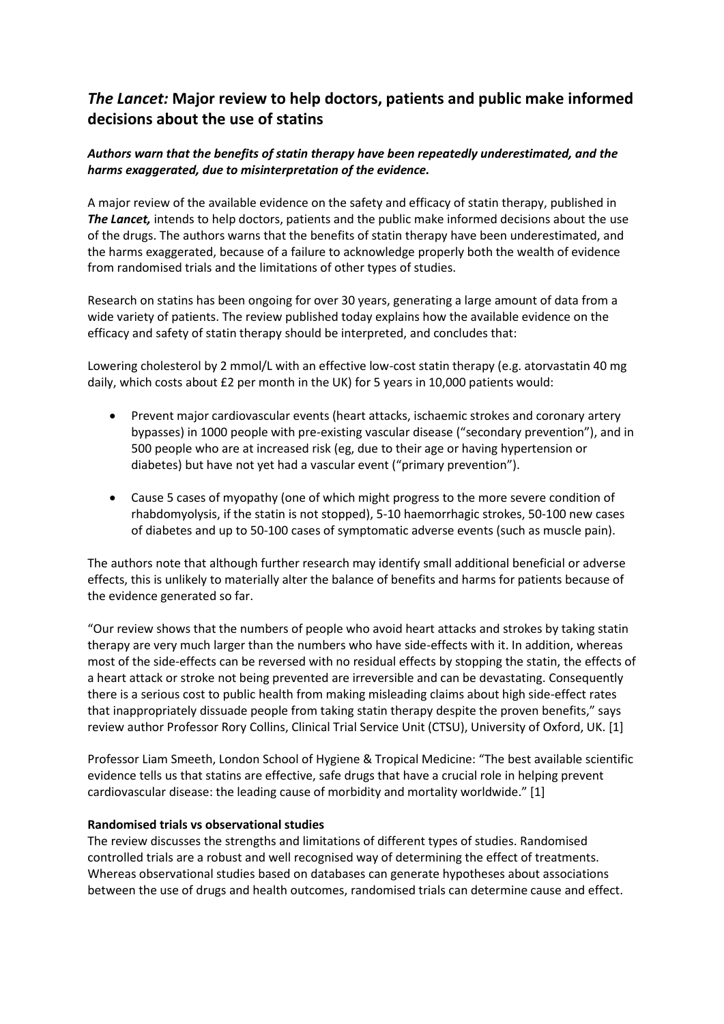# *The Lancet:* **Major review to help doctors, patients and public make informed decisions about the use of statins**

## *Authors warn that the benefits of statin therapy have been repeatedly underestimated, and the harms exaggerated, due to misinterpretation of the evidence.*

A major review of the available evidence on the safety and efficacy of statin therapy, published in **The Lancet,** intends to help doctors, patients and the public make informed decisions about the use of the drugs. The authors warns that the benefits of statin therapy have been underestimated, and the harms exaggerated, because of a failure to acknowledge properly both the wealth of evidence from randomised trials and the limitations of other types of studies.

Research on statins has been ongoing for over 30 years, generating a large amount of data from a wide variety of patients. The review published today explains how the available evidence on the efficacy and safety of statin therapy should be interpreted, and concludes that:

Lowering cholesterol by 2 mmol/L with an effective low-cost statin therapy (e.g. atorvastatin 40 mg daily, which costs about £2 per month in the UK) for 5 years in 10,000 patients would:

- Prevent major cardiovascular events (heart attacks, ischaemic strokes and coronary artery bypasses) in 1000 people with pre-existing vascular disease ("secondary prevention"), and in 500 people who are at increased risk (eg, due to their age or having hypertension or diabetes) but have not yet had a vascular event ("primary prevention").
- Cause 5 cases of myopathy (one of which might progress to the more severe condition of rhabdomyolysis, if the statin is not stopped), 5-10 haemorrhagic strokes, 50-100 new cases of diabetes and up to 50-100 cases of symptomatic adverse events (such as muscle pain).

The authors note that although further research may identify small additional beneficial or adverse effects, this is unlikely to materially alter the balance of benefits and harms for patients because of the evidence generated so far.

"Our review shows that the numbers of people who avoid heart attacks and strokes by taking statin therapy are very much larger than the numbers who have side-effects with it. In addition, whereas most of the side-effects can be reversed with no residual effects by stopping the statin, the effects of a heart attack or stroke not being prevented are irreversible and can be devastating. Consequently there is a serious cost to public health from making misleading claims about high side-effect rates that inappropriately dissuade people from taking statin therapy despite the proven benefits," says review author Professor Rory Collins, Clinical Trial Service Unit (CTSU), University of Oxford, UK. [1]

Professor Liam Smeeth, London School of Hygiene & Tropical Medicine: "The best available scientific evidence tells us that statins are effective, safe drugs that have a crucial role in helping prevent cardiovascular disease: the leading cause of morbidity and mortality worldwide." [1]

## **Randomised trials vs observational studies**

The review discusses the strengths and limitations of different types of studies. Randomised controlled trials are a robust and well recognised way of determining the effect of treatments. Whereas observational studies based on databases can generate hypotheses about associations between the use of drugs and health outcomes, randomised trials can determine cause and effect.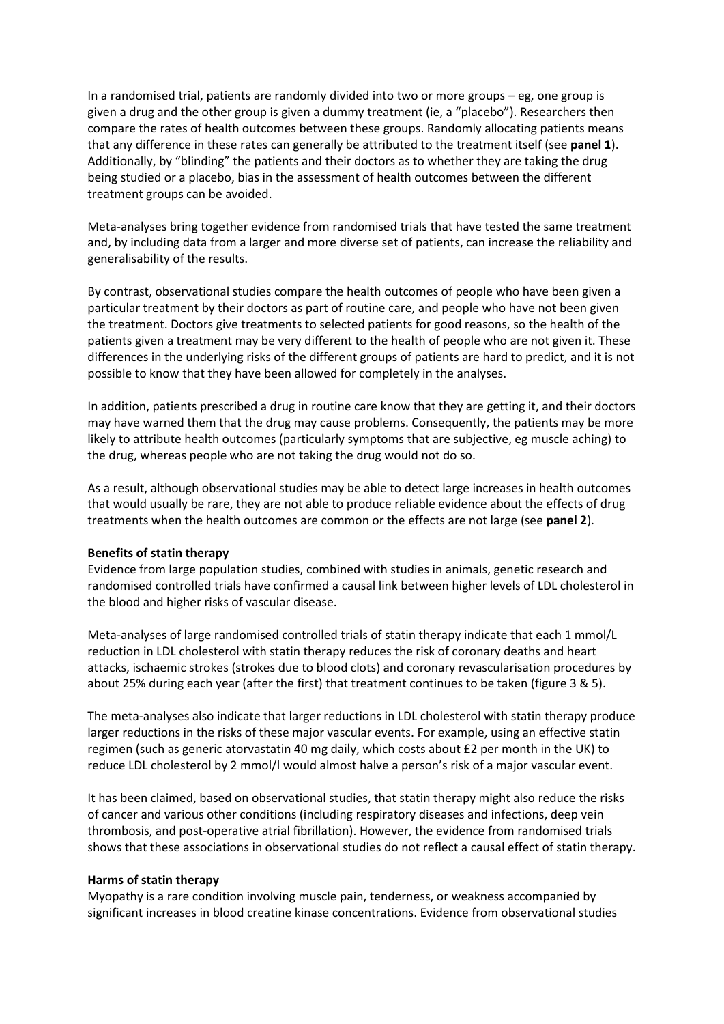In a randomised trial, patients are randomly divided into two or more groups – eg, one group is given a drug and the other group is given a dummy treatment (ie, a "placebo"). Researchers then compare the rates of health outcomes between these groups. Randomly allocating patients means that any difference in these rates can generally be attributed to the treatment itself (see **panel 1**). Additionally, by "blinding" the patients and their doctors as to whether they are taking the drug being studied or a placebo, bias in the assessment of health outcomes between the different treatment groups can be avoided.

Meta-analyses bring together evidence from randomised trials that have tested the same treatment and, by including data from a larger and more diverse set of patients, can increase the reliability and generalisability of the results.

By contrast, observational studies compare the health outcomes of people who have been given a particular treatment by their doctors as part of routine care, and people who have not been given the treatment. Doctors give treatments to selected patients for good reasons, so the health of the patients given a treatment may be very different to the health of people who are not given it. These differences in the underlying risks of the different groups of patients are hard to predict, and it is not possible to know that they have been allowed for completely in the analyses.

In addition, patients prescribed a drug in routine care know that they are getting it, and their doctors may have warned them that the drug may cause problems. Consequently, the patients may be more likely to attribute health outcomes (particularly symptoms that are subjective, eg muscle aching) to the drug, whereas people who are not taking the drug would not do so.

As a result, although observational studies may be able to detect large increases in health outcomes that would usually be rare, they are not able to produce reliable evidence about the effects of drug treatments when the health outcomes are common or the effects are not large (see **panel 2**).

### **Benefits of statin therapy**

Evidence from large population studies, combined with studies in animals, genetic research and randomised controlled trials have confirmed a causal link between higher levels of LDL cholesterol in the blood and higher risks of vascular disease.

Meta-analyses of large randomised controlled trials of statin therapy indicate that each 1 mmol/L reduction in LDL cholesterol with statin therapy reduces the risk of coronary deaths and heart attacks, ischaemic strokes (strokes due to blood clots) and coronary revascularisation procedures by about 25% during each year (after the first) that treatment continues to be taken (figure 3 & 5).

The meta-analyses also indicate that larger reductions in LDL cholesterol with statin therapy produce larger reductions in the risks of these major vascular events. For example, using an effective statin regimen (such as generic atorvastatin 40 mg daily, which costs about £2 per month in the UK) to reduce LDL cholesterol by 2 mmol/l would almost halve a person's risk of a major vascular event.

It has been claimed, based on observational studies, that statin therapy might also reduce the risks of cancer and various other conditions (including respiratory diseases and infections, deep vein thrombosis, and post-operative atrial fibrillation). However, the evidence from randomised trials shows that these associations in observational studies do not reflect a causal effect of statin therapy.

### **Harms of statin therapy**

Myopathy is a rare condition involving muscle pain, tenderness, or weakness accompanied by significant increases in blood creatine kinase concentrations. Evidence from observational studies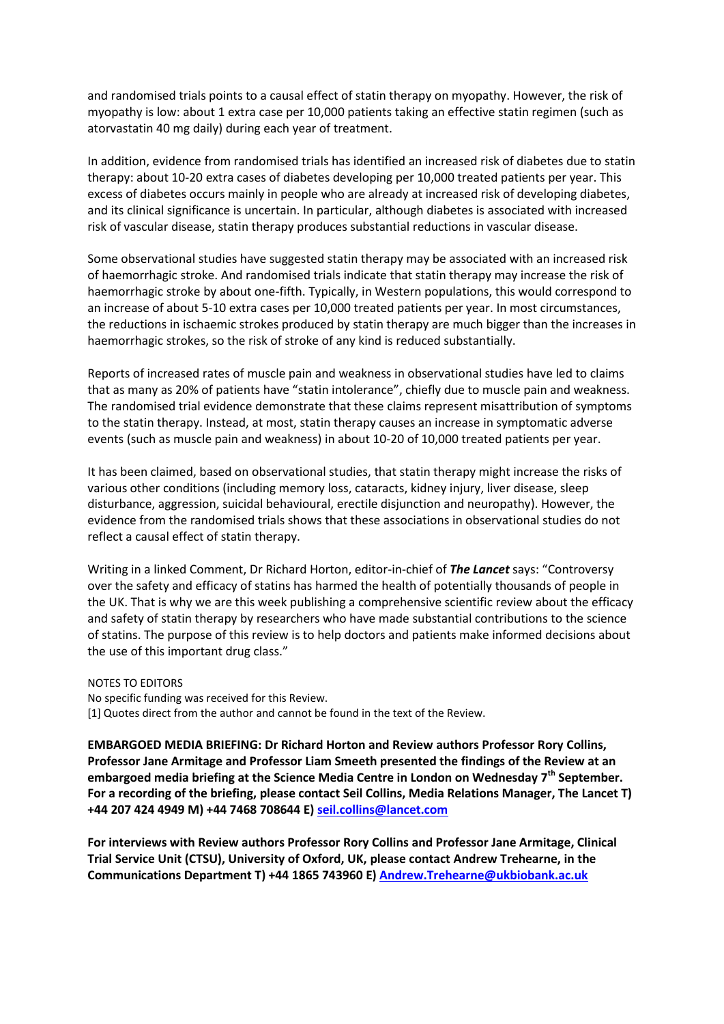and randomised trials points to a causal effect of statin therapy on myopathy. However, the risk of myopathy is low: about 1 extra case per 10,000 patients taking an effective statin regimen (such as atorvastatin 40 mg daily) during each year of treatment.

In addition, evidence from randomised trials has identified an increased risk of diabetes due to statin therapy: about 10-20 extra cases of diabetes developing per 10,000 treated patients per year. This excess of diabetes occurs mainly in people who are already at increased risk of developing diabetes, and its clinical significance is uncertain. In particular, although diabetes is associated with increased risk of vascular disease, statin therapy produces substantial reductions in vascular disease.

Some observational studies have suggested statin therapy may be associated with an increased risk of haemorrhagic stroke. And randomised trials indicate that statin therapy may increase the risk of haemorrhagic stroke by about one-fifth. Typically, in Western populations, this would correspond to an increase of about 5-10 extra cases per 10,000 treated patients per year. In most circumstances, the reductions in ischaemic strokes produced by statin therapy are much bigger than the increases in haemorrhagic strokes, so the risk of stroke of any kind is reduced substantially.

Reports of increased rates of muscle pain and weakness in observational studies have led to claims that as many as 20% of patients have "statin intolerance", chiefly due to muscle pain and weakness. The randomised trial evidence demonstrate that these claims represent misattribution of symptoms to the statin therapy. Instead, at most, statin therapy causes an increase in symptomatic adverse events (such as muscle pain and weakness) in about 10-20 of 10,000 treated patients per year.

It has been claimed, based on observational studies, that statin therapy might increase the risks of various other conditions (including memory loss, cataracts, kidney injury, liver disease, sleep disturbance, aggression, suicidal behavioural, erectile disjunction and neuropathy). However, the evidence from the randomised trials shows that these associations in observational studies do not reflect a causal effect of statin therapy.

Writing in a linked Comment, Dr Richard Horton, editor-in-chief of *The Lancet* says: "Controversy over the safety and efficacy of statins has harmed the health of potentially thousands of people in the UK. That is why we are this week publishing a comprehensive scientific review about the efficacy and safety of statin therapy by researchers who have made substantial contributions to the science of statins. The purpose of this review is to help doctors and patients make informed decisions about the use of this important drug class."

NOTES TO EDITORS No specific funding was received for this Review. [1] Quotes direct from the author and cannot be found in the text of the Review.

**EMBARGOED MEDIA BRIEFING: Dr Richard Horton and Review authors Professor Rory Collins, Professor Jane Armitage and Professor Liam Smeeth presented the findings of the Review at an embargoed media briefing at the Science Media Centre in London on Wednesday 7th September. For a recording of the briefing, please contact Seil Collins, Media Relations Manager, The Lancet T) +44 207 424 4949 M) +44 7468 708644 E) [seil.collins@lancet.com](mailto:seil.collins@lancet.com)**

**For interviews with Review authors Professor Rory Collins and Professor Jane Armitage, Clinical Trial Service Unit (CTSU), University of Oxford, UK, please contact Andrew Trehearne, in the Communications Department T) +44 1865 743960 E) [Andrew.Trehearne@ukbiobank.ac.uk](mailto:Andrew.Trehearne@ukbiobank.ac.uk)**